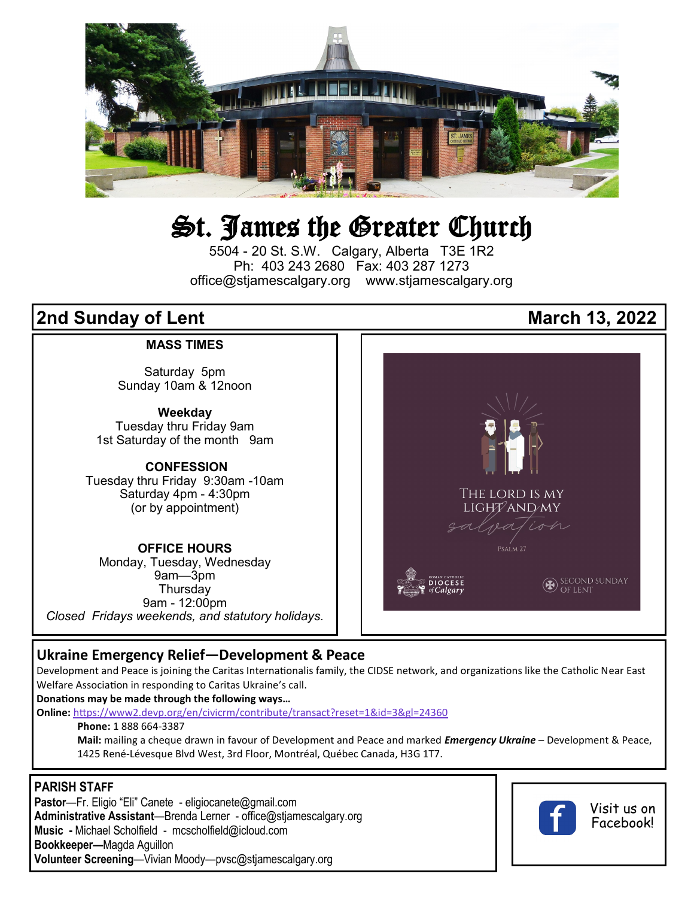

## St. James the Greater Church

5504 - 20 St. S.W. Calgary, Alberta T3E 1R2 Ph: 403 243 2680 Fax: 403 287 1273 office@stjamescalgary.org www.stjamescalgary.org

#### **MASS TIMES**

Saturday 5pm Sunday 10am & 12noon

**Weekday** Tuesday thru Friday 9am 1st Saturday of the month 9am

#### **CONFESSION**

Tuesday thru Friday 9:30am -10am Saturday 4pm - 4:30pm (or by appointment)

#### **OFFICE HOURS**

Monday, Tuesday, Wednesday 9am—3pm **Thursdav** 9am - 12:00pm *Closed Fridays weekends, and statutory holidays.*

# **2nd Sunday of Lent March 13, 2022**



#### **Ukraine Emergency Relief—Development & Peace**

Development and Peace is joining the Caritas Internationalis family, the CIDSE network, and organizations like the Catholic Near East Welfare Association in responding to Caritas Ukraine's call.

**Donations may be made through the following ways…**

**Online:** <https://www2.devp.org/en/civicrm/contribute/transact?reset=1&id=3&gl=24360>

**Phone:** 1 888 664-3387

**Mail:** mailing a cheque drawn in favour of Development and Peace and marked *Emergency Ukraine* – Development & Peace, 1425 René-Lévesque Blvd West, 3rd Floor, Montréal, Québec Canada, H3G 1T7.

#### **PARISH STAFF**

**Pastor**—Fr. Eligio "Eli" Canete - eligiocanete@gmail.com **Administrative Assistant**—Brenda Lerner - office@stjamescalgary.org **Music -** Michael Scholfield - mcscholfield@icloud.com **Bookkeeper—**Magda Aguillon **Volunteer Screening**—Vivian Moody—pvsc@stjamescalgary.org



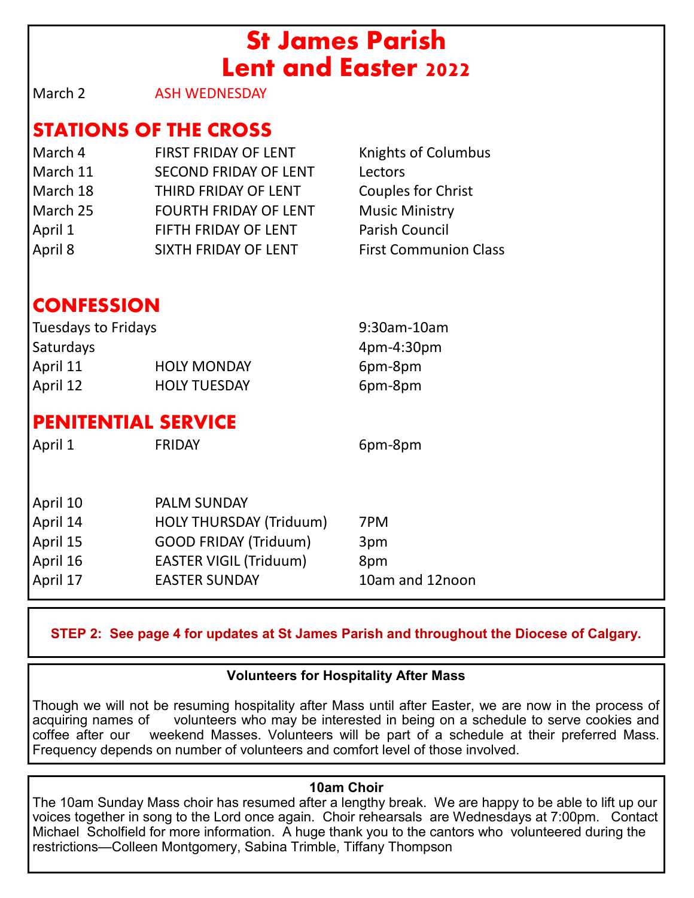## **St James Parish Lent and Easter 2022**

March 2 **ASH WEDNESDAY** 

## **STATIONS OF THE CROSS**

March 4 FIRST FRIDAY OF LENT Knights of Columbus March 11 SECOND FRIDAY OF LENT Lectors March 18 THIRD FRIDAY OF LENT Couples for Christ March 25 FOURTH FRIDAY OF LENT Music Ministry April 1 FIFTH FRIDAY OF LENT Parish Council April 8 SIXTH FRIDAY OF LENT First Communion Class

## **CONFESSION**

| Tuesdays to Fridays |                     | 9:30am-10am |
|---------------------|---------------------|-------------|
| <b>Saturdays</b>    |                     | 4pm-4:30pm  |
| April 11            | <b>HOLY MONDAY</b>  | 6pm-8pm     |
| April 12            | <b>HOLY TUESDAY</b> | 6pm-8pm     |

## **PENITENTIAL SERVICE**

April 1 FRIDAY 6pm-8pm April 10 PALM SUNDAY April 14 **HOLY THURSDAY (Triduum)** 7PM April 15 **GOOD FRIDAY (Triduum)** 3pm April 16 **EASTER VIGIL (Triduum)** 8pm April 17 EASTER SUNDAY 10am and 12noon

**STEP 2: See page 4 for updates at St James Parish and throughout the Diocese of Calgary.**

### **Volunteers for Hospitality After Mass**

Though we will not be resuming hospitality after Mass until after Easter, we are now in the process of volunteers who may be interested in being on a schedule to serve cookies and coffee after our weekend Masses. Volunteers will be part of a schedule at their preferred Mass. Frequency depends on number of volunteers and comfort level of those involved.

#### **10am Choir**

The 10am Sunday Mass choir has resumed after a lengthy break. We are happy to be able to lift up our voices together in song to the Lord once again. Choir rehearsals are Wednesdays at 7:00pm. Contact Michael Scholfield for more information. A huge thank you to the cantors who volunteered during the restrictions—Colleen Montgomery, Sabina Trimble, Tiffany Thompson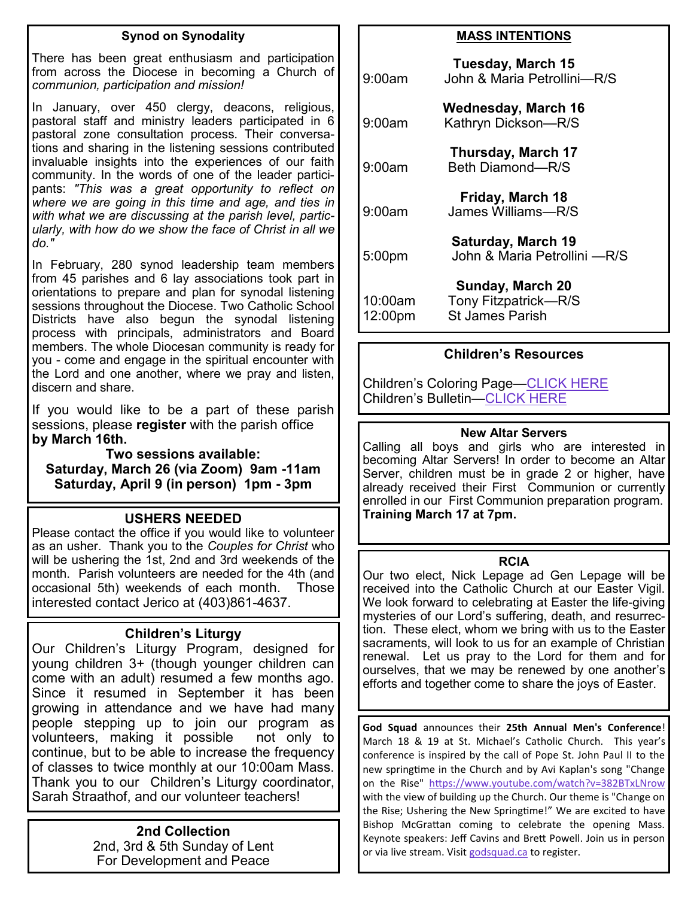#### **Synod on Synodality**

There has been great enthusiasm and participation from across the Diocese in becoming a Church of *communion, participation and mission!*

In January, over 450 clergy, deacons, religious, pastoral staff and ministry leaders participated in 6 pastoral zone consultation process. Their conversations and sharing in the listening sessions contributed invaluable insights into the experiences of our faith community. In the words of one of the leader participants: *"This was a great opportunity to reflect on where we are going in this time and age, and ties in with what we are discussing at the parish level, particularly, with how do we show the face of Christ in all we do."*

In February, 280 synod leadership team members from 45 parishes and 6 lay associations took part in orientations to prepare and plan for synodal listening sessions throughout the Diocese. Two Catholic School Districts have also begun the synodal listening process with principals, administrators and Board members. The whole Diocesan community is ready for you - come and engage in the spiritual encounter with the Lord and one another, where we pray and listen, discern and share.

If you would like to be a part of these parish sessions, please **register** with the parish office **by March 16th.** 

**Two sessions available: Saturday, March 26 (via Zoom) 9am -11am Saturday, April 9 (in person) 1pm - 3pm**

#### **USHERS NEEDED**

Please contact the office if you would like to volunteer as an usher. Thank you to the *Couples for Christ* who will be ushering the 1st, 2nd and 3rd weekends of the month. Parish volunteers are needed for the 4th (and occasional 5th) weekends of each month. Those interested contact Jerico at (403)861-4637.

#### **Children's Liturgy**

Our Children's Liturgy Program, designed for young children 3+ (though younger children can come with an adult) resumed a few months ago. Since it resumed in September it has been growing in attendance and we have had many people stepping up to join our program as volunteers, making it possible not only to continue, but to be able to increase the frequency of classes to twice monthly at our 10:00am Mass. Thank you to our Children's Liturgy coordinator, Sarah Straathof, and our volunteer teachers!

#### **2nd Collection**

2nd, 3rd & 5th Sunday of Lent For Development and Peace

#### **MASS INTENTIONS**

| 9:00am             | Tuesday, March 15<br>John & Maria Petrollini-R/S                   |
|--------------------|--------------------------------------------------------------------|
| 9:00am             | <b>Wednesday, March 16</b><br>Kathryn Dickson-R/S                  |
| 9:00am             | Thursday, March 17<br>Beth Diamond-R/S                             |
| $9:00$ am          | Friday, March 18<br>James Williams-R/S                             |
| 5:00pm             | Saturday, March 19<br>John & Maria Petrollini - R/S                |
| 10:00am<br>12:00pm | Sunday, March 20<br>Tony Fitzpatrick-R/S<br><b>St James Parish</b> |

#### **Children's Resources**

Children's Coloring Page—[CLICK HERE](https://thekidsbulletin.files.wordpress.com/2022/02/the-kids-bulletin-lent-2.pdf) Children's Bulletin[—CLICK HERE](https://www.devp.org/wp-content/uploads/2022/03/FamilyBulletin2022_Week2.pdf)

#### **New Altar Servers**

Calling all boys and girls who are interested in becoming Altar Servers! In order to become an Altar Server, children must be in grade 2 or higher, have already received their First Communion or currently enrolled in our First Communion preparation program. **Training March 17 at 7pm.**

#### **RCIA**

Our two elect, Nick Lepage ad Gen Lepage will be received into the Catholic Church at our Easter Vigil. We look forward to celebrating at Easter the life-giving mysteries of our Lord's suffering, death, and resurrection. These elect, whom we bring with us to the Easter sacraments, will look to us for an example of Christian renewal. Let us pray to the Lord for them and for ourselves, that we may be renewed by one another's efforts and together come to share the joys of Easter.

**God Squad** announces their **25th Annual Men's Conference**! March 18 & 19 at St. Michael's Catholic Church. This year's conference is inspired by the call of Pope St. John Paul II to the new springtime in the Church and by Avi Kaplan's song "Change on the Rise" <https://www.youtube.com/watch?v=382BTxLNrow> with the view of building up the Church. Our theme is "Change on the Rise; Ushering the New Springtime!" We are excited to have Bishop McGrattan coming to celebrate the opening Mass. Keynote speakers: Jeff Cavins and Brett Powell. Join us in person or via live stream. Visit [godsquad.ca](http://godsquad.ca) to register.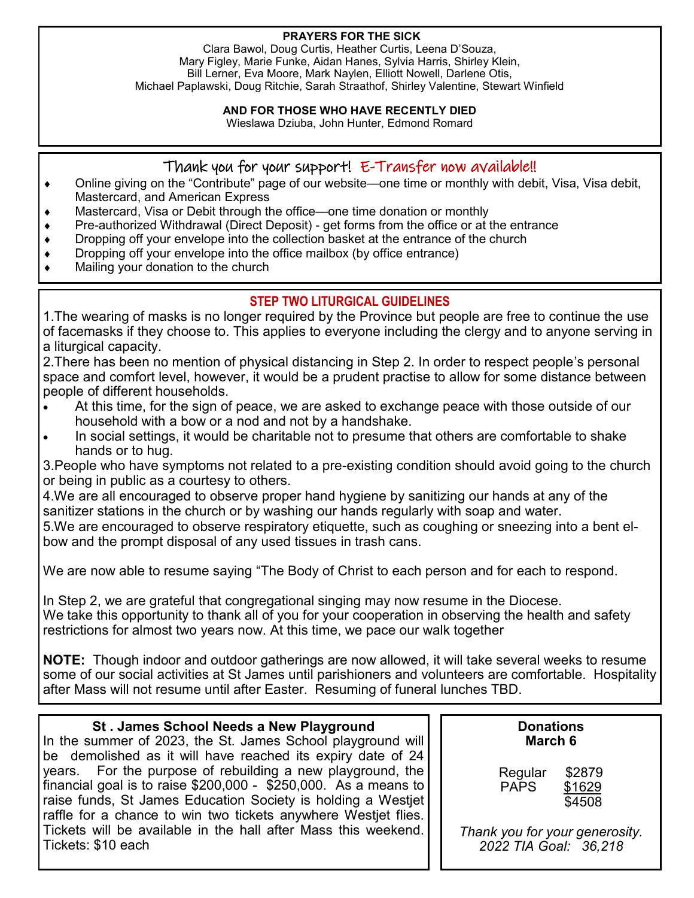#### **PRAYERS FOR THE SICK**

Clara Bawol, Doug Curtis, Heather Curtis, Leena D'Souza, Mary Figley, Marie Funke, Aidan Hanes, Sylvia Harris, Shirley Klein, Bill Lerner, Eva Moore, Mark Naylen, Elliott Nowell, Darlene Otis, Michael Paplawski, Doug Ritchie, Sarah Straathof, Shirley Valentine, Stewart Winfield

#### **AND FOR THOSE WHO HAVE RECENTLY DIED**

Wieslawa Dziuba, John Hunter, Edmond Romard

#### Thank you for your support! E-Transfer now available!!

- Online giving on the "Contribute" page of our website—one time or monthly with debit, Visa, Visa debit, Mastercard, and American Express
- Mastercard, Visa or Debit through the office—one time donation or monthly
- Pre-authorized Withdrawal (Direct Deposit) get forms from the office or at the entrance
- Dropping off your envelope into the collection basket at the entrance of the church
- Dropping off your envelope into the office mailbox (by office entrance)
- Mailing your donation to the church

#### **STEP TWO LITURGICAL GUIDELINES**

1.The wearing of masks is no longer required by the Province but people are free to continue the use of facemasks if they choose to. This applies to everyone including the clergy and to anyone serving in a liturgical capacity.

2.There has been no mention of physical distancing in Step 2. In order to respect people's personal space and comfort level, however, it would be a prudent practise to allow for some distance between people of different households.

- At this time, for the sign of peace, we are asked to exchange peace with those outside of our household with a bow or a nod and not by a handshake.
- In social settings, it would be charitable not to presume that others are comfortable to shake hands or to hug.

3.People who have symptoms not related to a pre-existing condition should avoid going to the church or being in public as a courtesy to others.

4.We are all encouraged to observe proper hand hygiene by sanitizing our hands at any of the sanitizer stations in the church or by washing our hands regularly with soap and water.

5.We are encouraged to observe respiratory etiquette, such as coughing or sneezing into a bent elbow and the prompt disposal of any used tissues in trash cans.

We are now able to resume saying "The Body of Christ to each person and for each to respond.

In Step 2, we are grateful that congregational singing may now resume in the Diocese. We take this opportunity to thank all of you for your cooperation in observing the health and safety restrictions for almost two years now. At this time, we pace our walk together

**NOTE:** Though indoor and outdoor gatherings are now allowed, it will take several weeks to resume some of our social activities at St James until parishioners and volunteers are comfortable. Hospitality after Mass will not resume until after Easter. Resuming of funeral lunches TBD.

#### **St . James School Needs a New Playground**

In the summer of 2023, the St. James School playground will be demolished as it will have reached its expiry date of 24 years. For the purpose of rebuilding a new playground, the financial goal is to raise \$200,000 - \$250,000. As a means to raise funds, St James Education Society is holding a Westjet raffle for a chance to win two tickets anywhere Westjet flies. Tickets will be available in the hall after Mass this weekend. Tickets: \$10 each

**Donations March 6**

Regular \$2879 PAPS \$1629 \$4508

*Thank you for your generosity. 2022 TIA Goal: 36,218*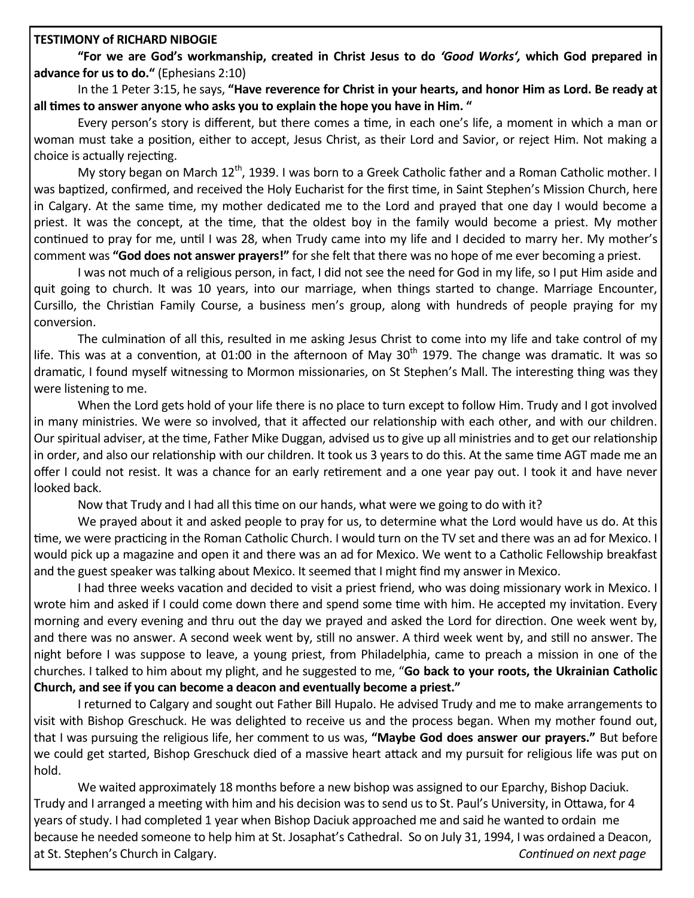#### **TESTIMONY of RICHARD NIBOGIE**

**"For we are God's workmanship, created in Christ Jesus to do** *'Good Works',* **which God prepared in advance for us to do."** (Ephesians 2:10)

In the 1 Peter 3:15, he says, **"Have reverence for Christ in your hearts, and honor Him as Lord. Be ready at all times to answer anyone who asks you to explain the hope you have in Him. "**

Every person's story is different, but there comes a time, in each one's life, a moment in which a man or woman must take a position, either to accept, Jesus Christ, as their Lord and Savior, or reject Him. Not making a choice is actually rejecting.

My story began on March  $12^{th}$ , 1939. I was born to a Greek Catholic father and a Roman Catholic mother. I was baptized, confirmed, and received the Holy Eucharist for the first time, in Saint Stephen's Mission Church, here in Calgary. At the same time, my mother dedicated me to the Lord and prayed that one day I would become a priest. It was the concept, at the time, that the oldest boy in the family would become a priest. My mother continued to pray for me, until I was 28, when Trudy came into my life and I decided to marry her. My mother's comment was **"God does not answer prayers!"** for she felt that there was no hope of me ever becoming a priest.

I was not much of a religious person, in fact, I did not see the need for God in my life, so I put Him aside and quit going to church. It was 10 years, into our marriage, when things started to change. Marriage Encounter, Cursillo, the Christian Family Course, a business men's group, along with hundreds of people praying for my conversion.

The culmination of all this, resulted in me asking Jesus Christ to come into my life and take control of my life. This was at a convention, at 01:00 in the afternoon of May  $30<sup>th</sup>$  1979. The change was dramatic. It was so dramatic, I found myself witnessing to Mormon missionaries, on St Stephen's Mall. The interesting thing was they were listening to me.

When the Lord gets hold of your life there is no place to turn except to follow Him. Trudy and I got involved in many ministries. We were so involved, that it affected our relationship with each other, and with our children. Our spiritual adviser, at the time, Father Mike Duggan, advised us to give up all ministries and to get our relationship in order, and also our relationship with our children. It took us 3 years to do this. At the same time AGT made me an offer I could not resist. It was a chance for an early retirement and a one year pay out. I took it and have never looked back.

Now that Trudy and I had all this time on our hands, what were we going to do with it?

We prayed about it and asked people to pray for us, to determine what the Lord would have us do. At this time, we were practicing in the Roman Catholic Church. I would turn on the TV set and there was an ad for Mexico. I would pick up a magazine and open it and there was an ad for Mexico. We went to a Catholic Fellowship breakfast and the guest speaker was talking about Mexico. It seemed that I might find my answer in Mexico.

I had three weeks vacation and decided to visit a priest friend, who was doing missionary work in Mexico. I wrote him and asked if I could come down there and spend some time with him. He accepted my invitation. Every morning and every evening and thru out the day we prayed and asked the Lord for direction. One week went by, and there was no answer. A second week went by, still no answer. A third week went by, and still no answer. The night before I was suppose to leave, a young priest, from Philadelphia, came to preach a mission in one of the churches. I talked to him about my plight, and he suggested to me, "**Go back to your roots, the Ukrainian Catholic Church, and see if you can become a deacon and eventually become a priest."**

I returned to Calgary and sought out Father Bill Hupalo. He advised Trudy and me to make arrangements to visit with Bishop Greschuck. He was delighted to receive us and the process began. When my mother found out, that I was pursuing the religious life, her comment to us was, **"Maybe God does answer our prayers."** But before we could get started, Bishop Greschuck died of a massive heart attack and my pursuit for religious life was put on hold.

We waited approximately 18 months before a new bishop was assigned to our Eparchy, Bishop Daciuk. Trudy and I arranged a meeting with him and his decision was to send us to St. Paul's University, in Ottawa, for 4 years of study. I had completed 1 year when Bishop Daciuk approached me and said he wanted to ordain me because he needed someone to help him at St. Josaphat's Cathedral. So on July 31, 1994, I was ordained a Deacon, at St. Stephen's Church in Calgary. *Continued on next page*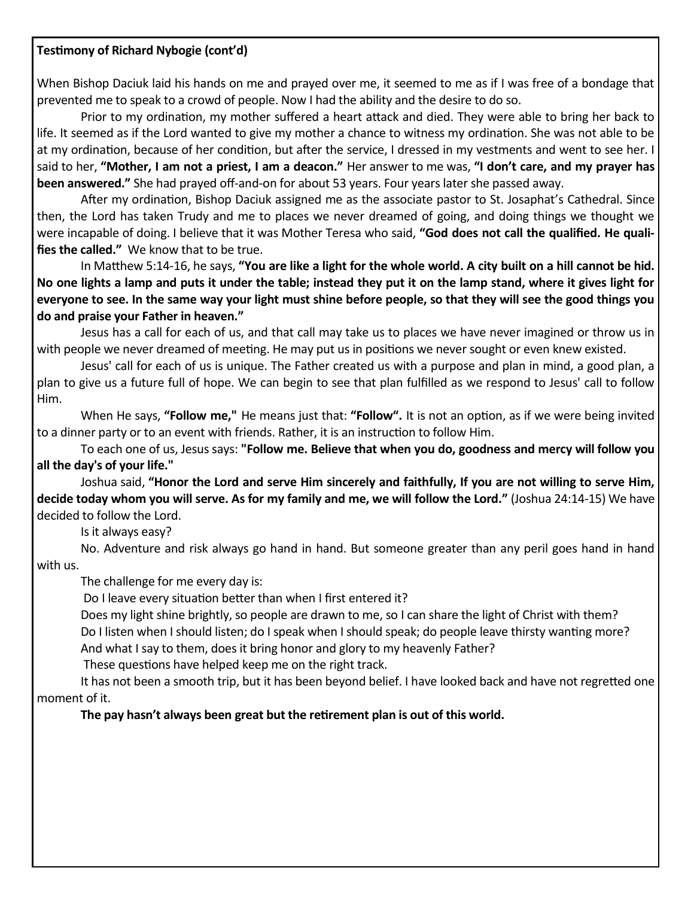#### **Testimony of Richard Nybogie (cont'd)**

When Bishop Daciuk laid his hands on me and prayed over me, it seemed to me as if I was free of a bondage that prevented me to speak to a crowd of people. Now I had the ability and the desire to do so.

Prior to my ordination, my mother suffered a heart attack and died. They were able to bring her back to life. It seemed as if the Lord wanted to give my mother a chance to witness my ordination. She was not able to be at my ordination, because of her condition, but after the service, I dressed in my vestments and went to see her. I said to her, **"Mother, I am not a priest, I am a deacon."** Her answer to me was, **"I don't care, and my prayer has been answered."** She had prayed off-and-on for about 53 years. Four years later she passed away.

After my ordination, Bishop Daciuk assigned me as the associate pastor to St. Josaphat's Cathedral. Since then, the Lord has taken Trudy and me to places we never dreamed of going, and doing things we thought we were incapable of doing. I believe that it was Mother Teresa who said, **"God does not call the qualified. He qualifies the called."** We know that to be true.

In Matthew 5:14-16, he says, **"You are like a light for the whole world. A city built on a hill cannot be hid. No one lights a lamp and puts it under the table; instead they put it on the lamp stand, where it gives light for everyone to see. In the same way your light must shine before people, so that they will see the good things you do and praise your Father in heaven."**

Jesus has a call for each of us, and that call may take us to places we have never imagined or throw us in with people we never dreamed of meeting. He may put us in positions we never sought or even knew existed.

Jesus' call for each of us is unique. The Father created us with a purpose and plan in mind, a good plan, a plan to give us a future full of hope. We can begin to see that plan fulfilled as we respond to Jesus' call to follow Him.

When He says, **"Follow me,"** He means just that: **"Follow".** It is not an option, as if we were being invited to a dinner party or to an event with friends. Rather, it is an instruction to follow Him.

To each one of us, Jesus says: **"Follow me. Believe that when you do, goodness and mercy will follow you all the day's of your life."**

Joshua said, **"Honor the Lord and serve Him sincerely and faithfully, If you are not willing to serve Him, decide today whom you will serve. As for my family and me, we will follow the Lord."** (Joshua 24:14-15) We have decided to follow the Lord.

Is it always easy?

No. Adventure and risk always go hand in hand. But someone greater than any peril goes hand in hand with us.

The challenge for me every day is:

Do I leave every situation better than when I first entered it?

Does my light shine brightly, so people are drawn to me, so I can share the light of Christ with them? Do I listen when I should listen; do I speak when I should speak; do people leave thirsty wanting more?

And what I say to them, does it bring honor and glory to my heavenly Father?

These questions have helped keep me on the right track.

It has not been a smooth trip, but it has been beyond belief. I have looked back and have not regretted one moment of it.

**The pay hasn't always been great but the retirement plan is out of this world.**